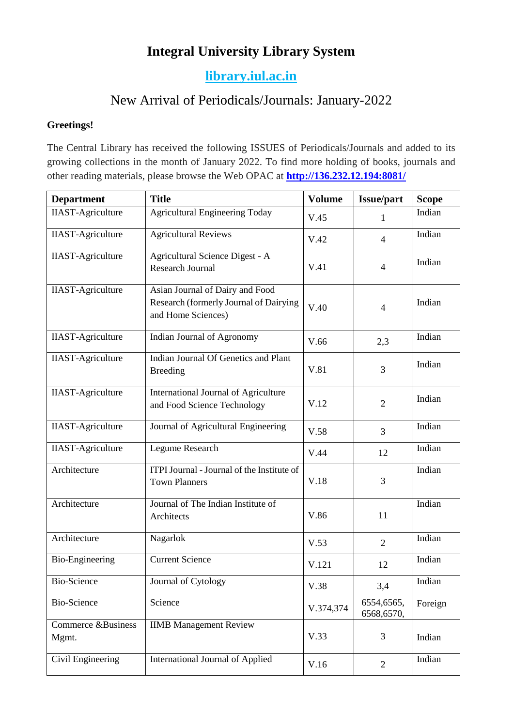## **Integral University Library System**

## **[library.iul.ac.in](http://library.iul.ac.in/)**

# New Arrival of Periodicals/Journals: January-2022

#### **Greetings!**

The Central Library has received the following ISSUES of Periodicals/Journals and added to its growing collections in the month of January 2022. To find more holding of books, journals and other reading materials, please browse the Web OPAC at **<http://136.232.12.194:8081/>**

| <b>Department</b>           | <b>Title</b>                                                                                    | <b>Volume</b> | <b>Issue/part</b>        | <b>Scope</b> |
|-----------------------------|-------------------------------------------------------------------------------------------------|---------------|--------------------------|--------------|
| <b>IIAST-Agriculture</b>    | <b>Agricultural Engineering Today</b>                                                           | V.45          | 1                        | Indian       |
| <b>IIAST-Agriculture</b>    | <b>Agricultural Reviews</b>                                                                     | V.42          | $\overline{4}$           | Indian       |
| <b>IIAST-Agriculture</b>    | Agricultural Science Digest - A<br><b>Research Journal</b>                                      | V.41          | $\overline{4}$           | Indian       |
| <b>IIAST-Agriculture</b>    | Asian Journal of Dairy and Food<br>Research (formerly Journal of Dairying<br>and Home Sciences) | V.40          | $\overline{4}$           | Indian       |
| <b>IIAST-Agriculture</b>    | Indian Journal of Agronomy                                                                      | V.66          | 2,3                      | Indian       |
| <b>IIAST-Agriculture</b>    | Indian Journal Of Genetics and Plant<br><b>Breeding</b>                                         | V.81          | 3                        | Indian       |
| <b>IIAST-Agriculture</b>    | International Journal of Agriculture<br>and Food Science Technology                             | V.12          | $\overline{2}$           | Indian       |
| <b>IIAST-Agriculture</b>    | Journal of Agricultural Engineering                                                             | V.58          | 3                        | Indian       |
| <b>IIAST-Agriculture</b>    | Legume Research                                                                                 | V.44          | 12                       | Indian       |
| Architecture                | ITPI Journal - Journal of the Institute of<br><b>Town Planners</b>                              | V.18          | 3                        | Indian       |
| Architecture                | Journal of The Indian Institute of<br>Architects                                                |               | 11                       | Indian       |
| Architecture                | Nagarlok                                                                                        |               | $\overline{2}$           | Indian       |
| <b>Bio-Engineering</b>      | <b>Current Science</b>                                                                          |               | 12                       | Indian       |
| Bio-Science                 | Journal of Cytology                                                                             | V.38          | 3,4                      | Indian       |
| <b>Bio-Science</b>          | Science                                                                                         | V.374,374     | 6554,6565,<br>6568,6570, | Foreign      |
| Commerce &Business<br>Mgmt. | <b>IIMB Management Review</b>                                                                   | V.33          | 3                        | Indian       |
| Civil Engineering           | International Journal of Applied                                                                | V.16          | $\overline{2}$           | Indian       |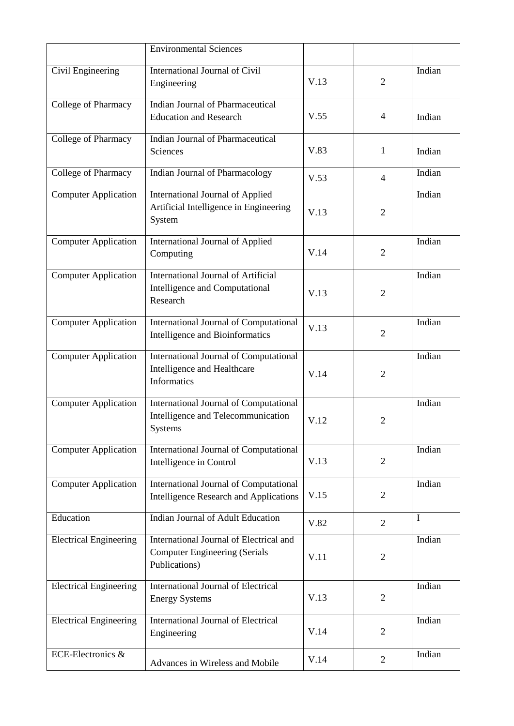|                               | <b>Environmental Sciences</b>                                                                    |      |                |        |
|-------------------------------|--------------------------------------------------------------------------------------------------|------|----------------|--------|
| Civil Engineering             | International Journal of Civil<br>Engineering                                                    |      | $\overline{2}$ | Indian |
| College of Pharmacy           | Indian Journal of Pharmaceutical<br><b>Education and Research</b>                                | V.55 | 4              | Indian |
| College of Pharmacy           | Indian Journal of Pharmaceutical<br>Sciences                                                     | V.83 | 1              | Indian |
| College of Pharmacy           | Indian Journal of Pharmacology                                                                   | V.53 | $\overline{4}$ | Indian |
| Computer Application          | <b>International Journal of Applied</b><br>Artificial Intelligence in Engineering<br>System      | V.13 | $\overline{2}$ | Indian |
| <b>Computer Application</b>   | International Journal of Applied<br>Computing                                                    | V.14 | $\overline{2}$ | Indian |
| <b>Computer Application</b>   | <b>International Journal of Artificial</b><br>Intelligence and Computational<br>Research         |      | $\overline{2}$ | Indian |
| <b>Computer Application</b>   | International Journal of Computational<br>Intelligence and Bioinformatics                        |      | $\overline{2}$ | Indian |
| <b>Computer Application</b>   | International Journal of Computational<br>Intelligence and Healthcare<br>Informatics             |      | $\overline{2}$ | Indian |
| <b>Computer Application</b>   | International Journal of Computational<br>Intelligence and Telecommunication<br>Systems          |      | $\overline{2}$ | Indian |
| <b>Computer Application</b>   | International Journal of Computational<br>Intelligence in Control                                |      | $\overline{2}$ | Indian |
| <b>Computer Application</b>   | International Journal of Computational<br><b>Intelligence Research and Applications</b>          |      | $\overline{2}$ | Indian |
| Education                     | Indian Journal of Adult Education                                                                |      | $\overline{2}$ | I      |
| <b>Electrical Engineering</b> | International Journal of Electrical and<br><b>Computer Engineering (Serials</b><br>Publications) | V.11 | $\overline{2}$ | Indian |
| <b>Electrical Engineering</b> | <b>International Journal of Electrical</b><br><b>Energy Systems</b>                              | V.13 | $\overline{2}$ | Indian |
| <b>Electrical Engineering</b> | International Journal of Electrical<br>Engineering                                               | V.14 | $\overline{2}$ | Indian |
| ECE-Electronics &             | Advances in Wireless and Mobile                                                                  | V.14 | $\overline{2}$ | Indian |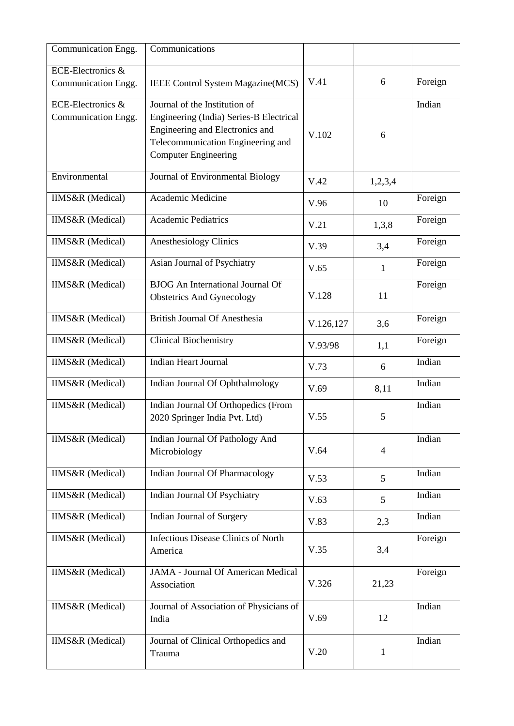| Communication Engg.                                                             | Communications                                              |         |                |         |
|---------------------------------------------------------------------------------|-------------------------------------------------------------|---------|----------------|---------|
| ECE-Electronics &                                                               |                                                             |         |                |         |
| Communication Engg.                                                             | IEEE Control System Magazine (MCS)                          | V.41    | 6              | Foreign |
| ECE-Electronics &                                                               | Journal of the Institution of                               |         |                | Indian  |
| Communication Engg.<br>Engineering (India) Series-B Electrical                  |                                                             |         |                |         |
|                                                                                 | Engineering and Electronics and                             |         | 6              |         |
|                                                                                 | V.102<br>Telecommunication Engineering and                  |         |                |         |
|                                                                                 | <b>Computer Engineering</b>                                 |         |                |         |
| Environmental                                                                   | Journal of Environmental Biology                            | V.42    | 1,2,3,4        |         |
| <b>IIMS&amp;R</b> (Medical)                                                     | Academic Medicine                                           | V.96    | 10             | Foreign |
| <b>IIMS&amp;R</b> (Medical)                                                     | <b>Academic Pediatrics</b>                                  | V.21    | 1,3,8          | Foreign |
| <b>IIMS&amp;R</b> (Medical)                                                     | <b>Anesthesiology Clinics</b>                               |         |                | Foreign |
|                                                                                 |                                                             | V.39    | 3,4            |         |
| <b>IIMS&amp;R</b> (Medical)                                                     | Asian Journal of Psychiatry                                 | V.65    | $\mathbf{1}$   | Foreign |
| <b>IIMS&amp;R</b> (Medical)                                                     | <b>BJOG</b> An International Journal Of                     |         |                | Foreign |
|                                                                                 | <b>Obstetrics And Gynecology</b>                            | V.128   | 11             |         |
| <b>IIMS&amp;R</b> (Medical)                                                     | <b>British Journal Of Anesthesia</b>                        |         | 3,6            | Foreign |
| <b>IIMS&amp;R</b> (Medical)                                                     | <b>Clinical Biochemistry</b>                                | V.93/98 | 1,1            | Foreign |
| <b>IIMS&amp;R</b> (Medical)                                                     | <b>Indian Heart Journal</b>                                 | V.73    | 6              | Indian  |
| <b>IIMS&amp;R</b> (Medical)                                                     | Indian Journal Of Ophthalmology                             | V.69    | 8,11           | Indian  |
| Indian Journal Of Orthopedics (From<br><b>IIMS&amp;R</b> (Medical)              |                                                             | V.55    |                | Indian  |
|                                                                                 | 2020 Springer India Pvt. Ltd)                               |         | 5              |         |
| <b>IIMS&amp;R</b> (Medical)                                                     | Indian Journal Of Pathology And                             |         |                | Indian  |
|                                                                                 | Microbiology                                                | V.64    | $\overline{4}$ |         |
| <b>IIMS&amp;R</b> (Medical)                                                     | Indian Journal Of Pharmacology                              |         |                | Indian  |
|                                                                                 |                                                             | V.53    | 5              |         |
|                                                                                 | <b>IIMS&amp;R</b> (Medical)<br>Indian Journal Of Psychiatry |         | 5              | Indian  |
| <b>IIMS&amp;R</b> (Medical)                                                     | Indian Journal of Surgery                                   |         | 2,3            | Indian  |
| <b>IIMS&amp;R</b> (Medical)                                                     | <b>Infectious Disease Clinics of North</b>                  |         |                | Foreign |
|                                                                                 | America                                                     | V.35    | 3,4            |         |
| <b>IIMS&amp;R</b> (Medical)                                                     | <b>JAMA - Journal Of American Medical</b>                   |         |                | Foreign |
|                                                                                 | Association                                                 | V.326   | 21,23          |         |
| <b>IIMS&amp;R</b> (Medical)<br>Journal of Association of Physicians of<br>India |                                                             |         |                | Indian  |
|                                                                                 |                                                             | V.69    | 12             |         |
| <b>IIMS&amp;R</b> (Medical)                                                     | Journal of Clinical Orthopedics and                         |         |                | Indian  |
| Trauma                                                                          |                                                             | V.20    | 1              |         |
|                                                                                 |                                                             |         |                |         |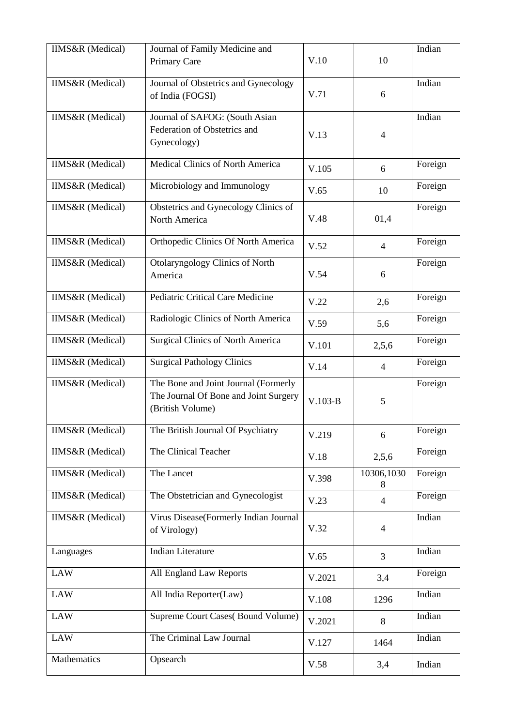| <b>IIMS&amp;R</b> (Medical) | Journal of Family Medicine and<br>Primary Care                                                    | V.10   | 10              | Indian  |
|-----------------------------|---------------------------------------------------------------------------------------------------|--------|-----------------|---------|
| <b>IIMS&amp;R</b> (Medical) | Journal of Obstetrics and Gynecology<br>of India (FOGSI)                                          | V.71   | 6               | Indian  |
| <b>IIMS&amp;R</b> (Medical) | Journal of SAFOG: (South Asian<br>Federation of Obstetrics and<br>Gynecology)                     | V.13   | 4               | Indian  |
| <b>IIMS&amp;R</b> (Medical) | Medical Clinics of North America                                                                  | V.105  | 6               | Foreign |
| <b>IIMS&amp;R</b> (Medical) | Microbiology and Immunology                                                                       | V.65   | 10              | Foreign |
| <b>IIMS&amp;R</b> (Medical) | Obstetrics and Gynecology Clinics of<br>V.48<br>North America                                     |        | 01,4            | Foreign |
| <b>IIMS&amp;R</b> (Medical) | Orthopedic Clinics Of North America                                                               | V.52   | $\overline{4}$  | Foreign |
| <b>IIMS&amp;R</b> (Medical) | Otolaryngology Clinics of North<br>America                                                        |        | 6               | Foreign |
| IIMS&R (Medical)            | Pediatric Critical Care Medicine                                                                  |        | 2,6             | Foreign |
| <b>IIMS&amp;R</b> (Medical) | Radiologic Clinics of North America                                                               |        | 5,6             | Foreign |
| <b>IIMS&amp;R</b> (Medical) | <b>Surgical Clinics of North America</b>                                                          | V.101  | 2,5,6           | Foreign |
| <b>IIMS&amp;R</b> (Medical) | <b>Surgical Pathology Clinics</b>                                                                 | V.14   | $\overline{4}$  | Foreign |
| <b>IIMS&amp;R</b> (Medical) | The Bone and Joint Journal (Formerly<br>The Journal Of Bone and Joint Surgery<br>(British Volume) |        | 5               | Foreign |
| <b>IIMS&amp;R</b> (Medical) | The British Journal Of Psychiatry                                                                 | V.219  | 6               | Foreign |
| <b>IIMS&amp;R</b> (Medical) | The Clinical Teacher                                                                              | V.18   | 2,5,6           | Foreign |
| <b>IIMS&amp;R</b> (Medical) | The Lancet                                                                                        | V.398  | 10306,1030<br>8 | Foreign |
| <b>IIMS&amp;R</b> (Medical) | The Obstetrician and Gynecologist                                                                 | V.23   | $\overline{4}$  | Foreign |
| <b>IIMS&amp;R</b> (Medical) | Virus Disease(Formerly Indian Journal<br>of Virology)                                             |        | $\overline{4}$  | Indian  |
| Languages                   | <b>Indian Literature</b>                                                                          | V.65   | $\overline{3}$  | Indian  |
| <b>LAW</b>                  | All England Law Reports                                                                           | V.2021 | 3,4             | Foreign |
| <b>LAW</b>                  | All India Reporter(Law)                                                                           | V.108  | 1296            | Indian  |
| <b>LAW</b>                  | Supreme Court Cases(Bound Volume)                                                                 | V.2021 | 8               | Indian  |
| <b>LAW</b>                  | The Criminal Law Journal                                                                          | V.127  | 1464            | Indian  |
| Mathematics                 | Opsearch                                                                                          |        | 3,4             | Indian  |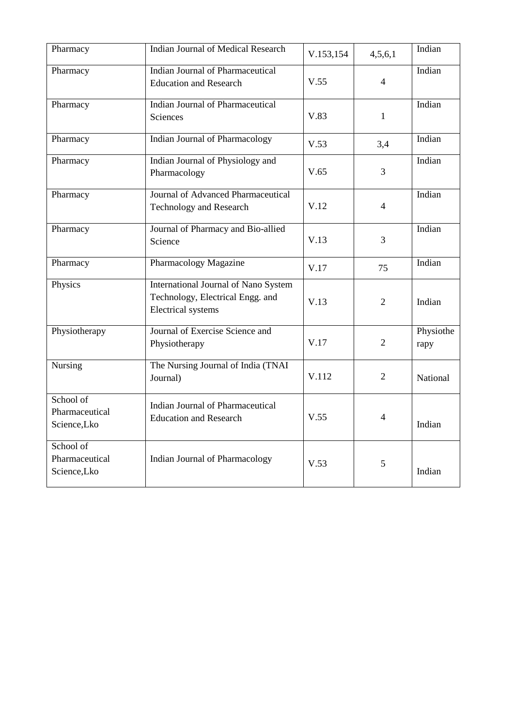| Pharmacy                                                                             | Indian Journal of Medical Research                                                                    | V.153,154 | 4,5,6,1        | Indian            |
|--------------------------------------------------------------------------------------|-------------------------------------------------------------------------------------------------------|-----------|----------------|-------------------|
| <b>Indian Journal of Pharmaceutical</b><br>Pharmacy<br><b>Education and Research</b> |                                                                                                       | V.55      | $\overline{4}$ | Indian            |
| Pharmacy                                                                             | <b>Indian Journal of Pharmaceutical</b><br>Sciences                                                   | V.83      | $\mathbf{1}$   | Indian            |
| Pharmacy                                                                             | Indian Journal of Pharmacology                                                                        | V.53      | 3,4            | Indian            |
| Pharmacy                                                                             | Indian Journal of Physiology and<br>Pharmacology                                                      | V.65      | 3              | Indian            |
| Pharmacy                                                                             | Journal of Advanced Pharmaceutical<br><b>Technology and Research</b>                                  | V.12      | 4              | Indian            |
| Pharmacy                                                                             | Journal of Pharmacy and Bio-allied<br>Science                                                         | V.13      | $\overline{3}$ | Indian            |
| Pharmacy                                                                             | Pharmacology Magazine                                                                                 | V.17      | 75             | Indian            |
| Physics                                                                              | International Journal of Nano System<br>Technology, Electrical Engg. and<br><b>Electrical</b> systems | V.13      | $\overline{2}$ | Indian            |
| Physiotherapy                                                                        | Journal of Exercise Science and<br>Physiotherapy                                                      | V.17      | $\overline{2}$ | Physiothe<br>rapy |
| Nursing                                                                              | The Nursing Journal of India (TNAI<br>Journal)                                                        | V.112     | $\overline{2}$ | National          |
| School of<br>Pharmaceutical<br>Science,Lko                                           | Indian Journal of Pharmaceutical<br><b>Education and Research</b>                                     | V.55      | $\overline{4}$ | Indian            |
| School of<br>Pharmaceutical<br>Science,Lko                                           | Indian Journal of Pharmacology                                                                        | V.53      | 5              | Indian            |